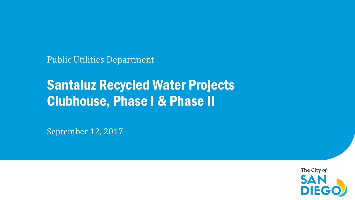Public Utilities Department

## Santaluz Recycled Water Projects Clubhouse, Phase I & Phase II

September 12, 2017

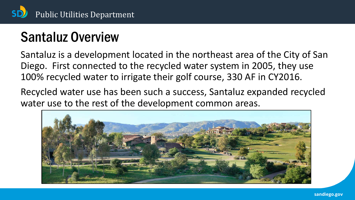

# Santaluz Overview

Santaluz is a development located in the northeast area of the City of San Diego. First connected to the recycled water system in 2005, they use 100% recycled water to irrigate their golf course, 330 AF in CY2016.

Recycled water use has been such a success, Santaluz expanded recycled water use to the rest of the development common areas.

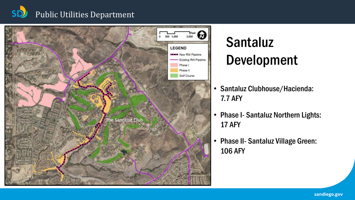#### **SD** Public Utilities Department



# Santaluz Development

- Santaluz Clubhouse/Hacienda: 7.7 AFY
- Phase I- Santaluz Northern Lights: 17 AFY
- Phase II- Santaluz Village Green: 106 AFY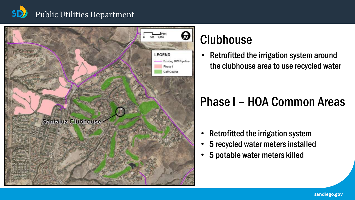#### Public Utilities Department



## Clubhouse

• Retrofitted the irrigation system around the clubhouse area to use recycled water

#### Phase I – HOA Common Areas

- Retrofitted the irrigation system
- 5 recycled water meters installed
- 5 potable water meters killed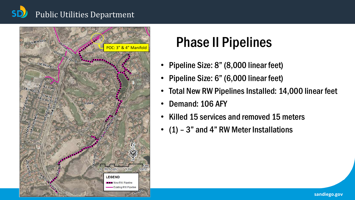## Public Utilities Department



# Phase II Pipelines

- Pipeline Size: 8" (8,000 linear feet)
- Pipeline Size: 6" (6,000 linear feet)
- Total New RW Pipelines Installed: 14,000 linear feet
- Demand: 106 AFY
- Killed 15 services and removed 15 meters
- (1) 3" and 4" RW Meter Installations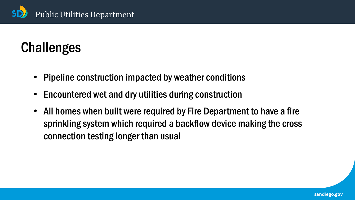

# **Challenges**

- Pipeline construction impacted by weather conditions
- Encountered wet and dry utilities during construction
- All homes when built were required by Fire Department to have a fire sprinkling system which required a backflow device making the cross connection testing longer than usual